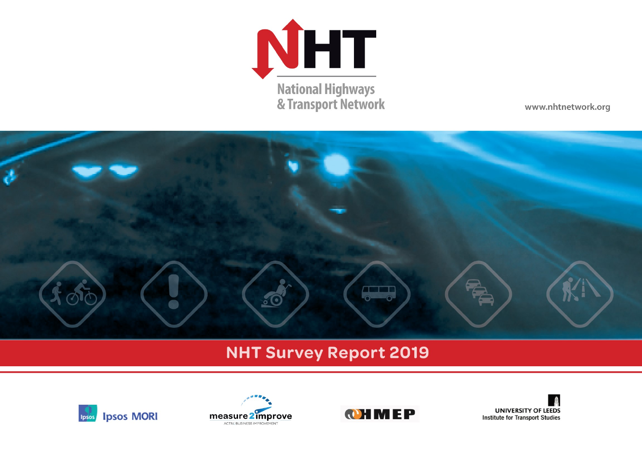

www.nhtnetwork.org



# **NHT Survey Report 2019**







**UNIVERSITY OF LEEDS Institute for Transport Studies**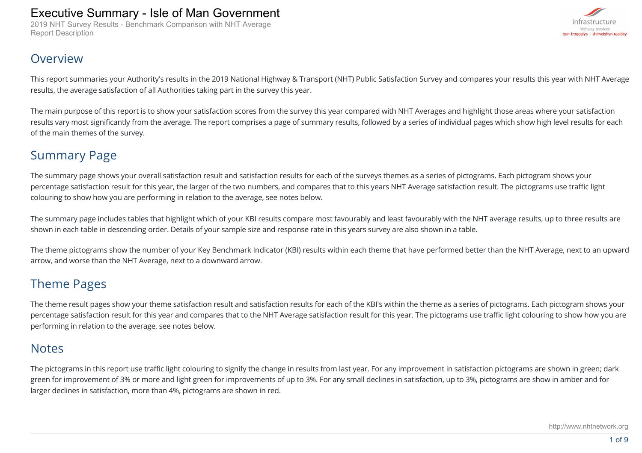2019 NHT Survey Results - Benchmark Comparison with NHT Average Report Description



### Overview

This report summaries your Authority's results in the 2019 National Highway & Transport (NHT) Public Satisfaction Survey and compares your results this year with NHT Average results, the average satisfaction of all Authorities taking part in the survey this year.

The main purpose of this report is to show your satisfaction scores from the survey this year compared with NHT Averages and highlight those areas where your satisfaction results vary most significantly from the average. The report comprises a page of summary results, followed by a series of individual pages which show high level results for each of the main themes of the survey.

# Summary Page

The summary page shows your overall satisfaction result and satisfaction results for each of the surveys themes as a series of pictograms. Each pictogram shows your percentage satisfaction result for this year, the larger of the two numbers, and compares that to this years NHT Average satisfaction result. The pictograms use traffic light colouring to show how you are performing in relation to the average, see notes below.

The summary page includes tables that highlight which of your KBI results compare most favourably and least favourably with the NHT average results, up to three results are shown in each table in descending order. Details of your sample size and response rate in this years survey are also shown in a table.

The theme pictograms show the number of your Key Benchmark Indicator (KBI) results within each theme that have performed better than the NHT Average, next to an upward arrow, and worse than the NHT Average, next to a downward arrow.

## Theme Pages

The theme result pages show your theme satisfaction result and satisfaction results for each of the KBI's within the theme as a series of pictograms. Each pictogram shows your percentage satisfaction result for this year and compares that to the NHT Average satisfaction result for this year. The pictograms use traffic light colouring to show how you are performing in relation to the average, see notes below.

### **Notes**

The pictograms in this report use traffic light colouring to signify the change in results from last year. For any improvement in satisfaction pictograms are shown in green; dark green for improvement of 3% or more and light green for improvements of up to 3%. For any small declines in satisfaction, up to 3%, pictograms are show in amber and for larger declines in satisfaction, more than 4%, pictograms are shown in red.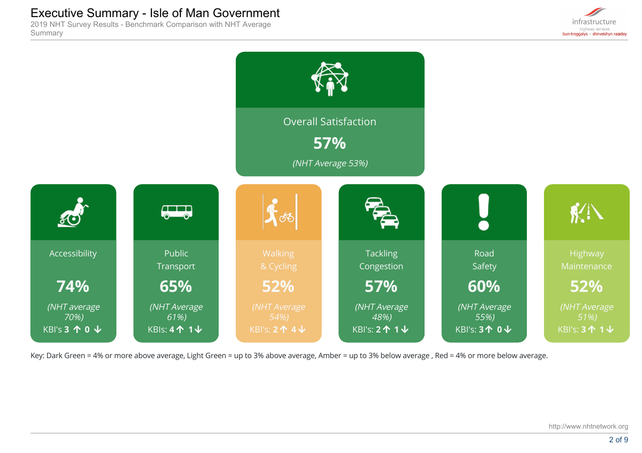2019 NHT Survey Results - Benchmark Comparison with NHT Average Summary





Key: Dark Green = 4% or more above average, Light Green = up to 3% above average, Amber = up to 3% below average , Red = 4% or more below average.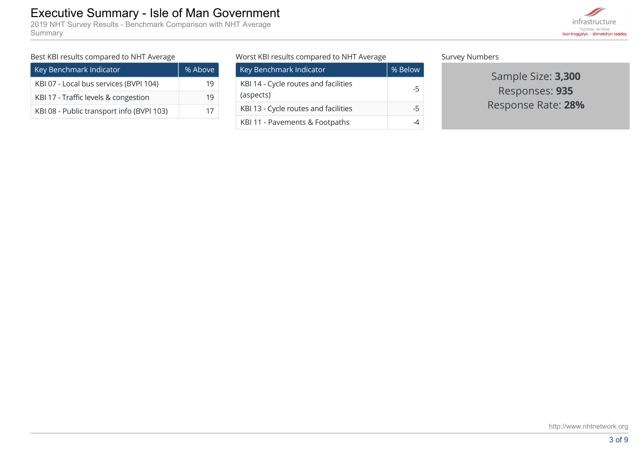2019 NHT Survey Results - Benchmark Comparison with NHT Average Summary



#### Best KBI results compared to NHT Average

| Key Benchmark Indicator                   | % Above |
|-------------------------------------------|---------|
| KBI 07 - Local bus services (BVPI 104)    |         |
| KBI 17 - Traffic levels & congestion      | 19      |
| KBI 08 - Public transport info (BVPI 103) | 17      |

Worst KBI results compared to NHT Average

| Key Benchmark Indicator                           | % Below |
|---------------------------------------------------|---------|
| KBI 14 - Cycle routes and facilities<br>(aspects) | -5      |
| KBI 13 - Cycle routes and facilities              | -5      |
| KBI 11 - Pavements & Footpaths                    |         |

Survey Numbers

Sample Size: **3,300** Responses: **935** Response Rate: **28%**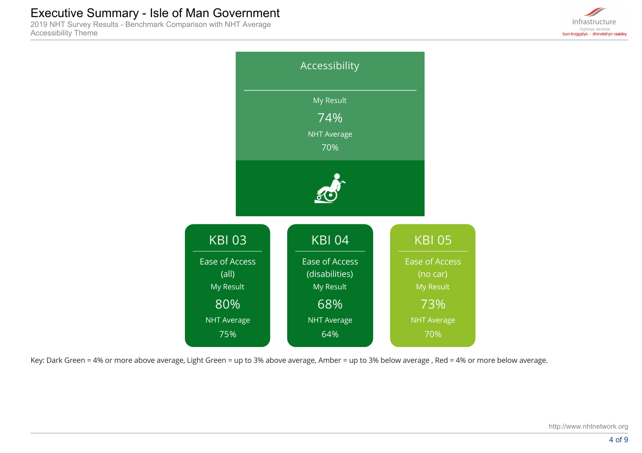2019 NHT Survey Results - Benchmark Comparison with NHT Average Accessibility Theme





Key: Dark Green = 4% or more above average, Light Green = up to 3% above average, Amber = up to 3% below average , Red = 4% or more below average.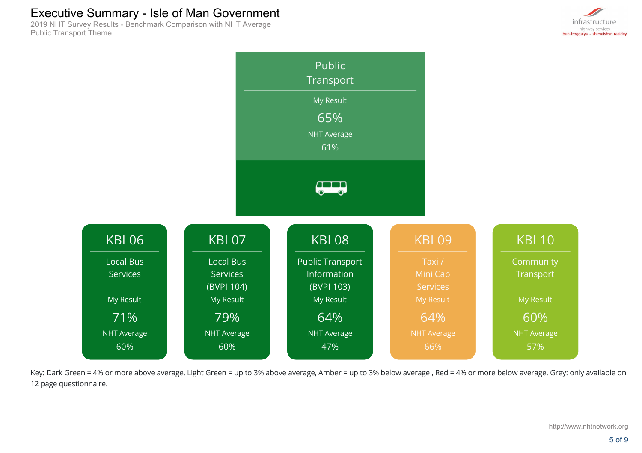2019 NHT Survey Results - Benchmark Comparison with NHT Average Public Transport Theme





Key: Dark Green = 4% or more above average, Light Green = up to 3% above average, Amber = up to 3% below average , Red = 4% or more below average. Grey: only available on 12 page questionnaire.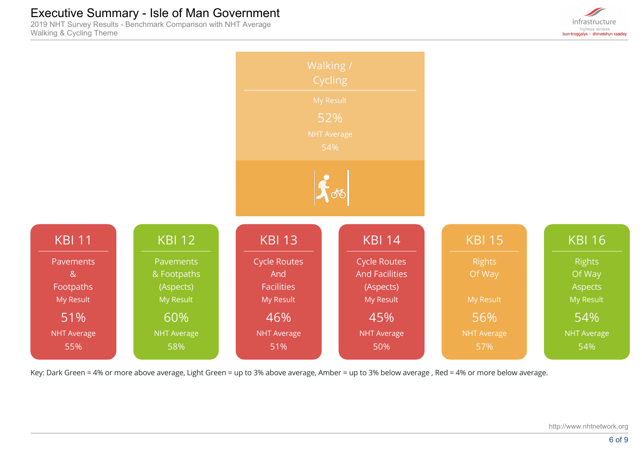2019 NHT Survey Results - Benchmark Comparison with NHT Average Walking & Cycling Theme





Key: Dark Green = 4% or more above average, Light Green = up to 3% above average, Amber = up to 3% below average , Red = 4% or more below average.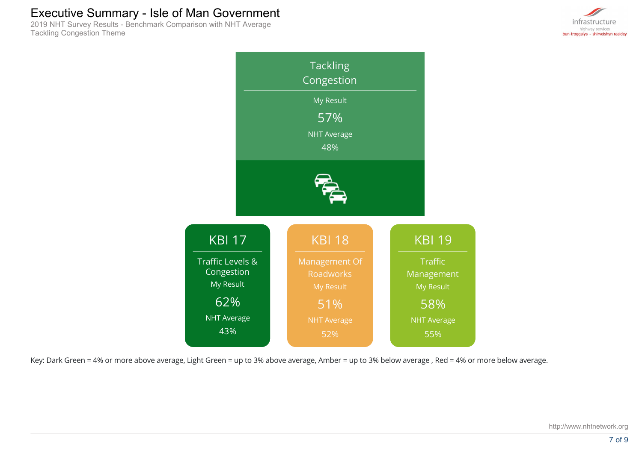2019 NHT Survey Results - Benchmark Comparison with NHT Average Tackling Congestion Theme





Key: Dark Green = 4% or more above average, Light Green = up to 3% above average, Amber = up to 3% below average , Red = 4% or more below average.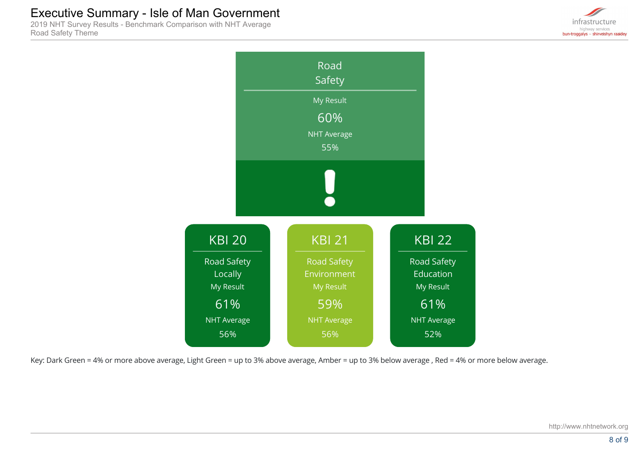2019 NHT Survey Results - Benchmark Comparison with NHT Average Road Safety Theme





Key: Dark Green = 4% or more above average, Light Green = up to 3% above average, Amber = up to 3% below average , Red = 4% or more below average.